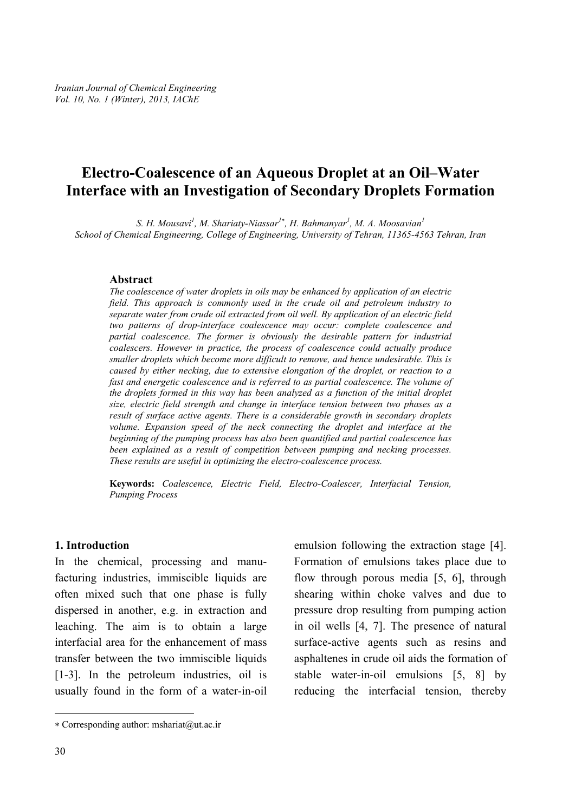# **Electro-Coalescence of an Aqueous Droplet at an Oil–Water Interface with an Investigation of Secondary Droplets Formation**

*S. H. Mousavi1 , M. Shariaty-Niassar1*<sup>∗</sup> *, H. Bahmanyar<sup>1</sup> , M. A. Moosavian<sup>1</sup> School of Chemical Engineering, College of Engineering, University of Tehran, 11365-4563 Tehran, Iran* 

#### **Abstract**

*The coalescence of water droplets in oils may be enhanced by application of an electric field. This approach is commonly used in the crude oil and petroleum industry to separate water from crude oil extracted from oil well. By application of an electric field two patterns of drop-interface coalescence may occur: complete coalescence and partial coalescence. The former is obviously the desirable pattern for industrial coalescers. However in practice, the process of coalescence could actually produce smaller droplets which become more difficult to remove, and hence undesirable. This is caused by either necking, due to extensive elongation of the droplet, or reaction to a fast and energetic coalescence and is referred to as partial coalescence. The volume of the droplets formed in this way has been analyzed as a function of the initial droplet size, electric field strength and change in interface tension between two phases as a result of surface active agents. There is a considerable growth in secondary droplets*  volume. Expansion speed of the neck connecting the droplet and interface at the *beginning of the pumping process has also been quantified and partial coalescence has been explained as a result of competition between pumping and necking processes. These results are useful in optimizing the electro-coalescence process.* 

**Keywords:** *Coalescence, Electric Field, Electro-Coalescer, Interfacial Tension, Pumping Process* 

#### **1. Introduction**

In the chemical, processing and manufacturing industries, immiscible liquids are often mixed such that one phase is fully dispersed in another, e.g. in extraction and leaching. The aim is to obtain a large interfacial area for the enhancement of mass transfer between the two immiscible liquids [1-3]. In the petroleum industries, oil is usually found in the form of a water-in-oil

emulsion following the extraction stage [4]. Formation of emulsions takes place due to flow through porous media [5, 6], through shearing within choke valves and due to pressure drop resulting from pumping action in oil wells [4, 7]. The presence of natural surface-active agents such as resins and asphaltenes in crude oil aids the formation of stable water-in-oil emulsions [5, 8] by reducing the interfacial tension, thereby

 $\overline{a}$ 

<sup>∗</sup> Corresponding author: mshariat@ut.ac.ir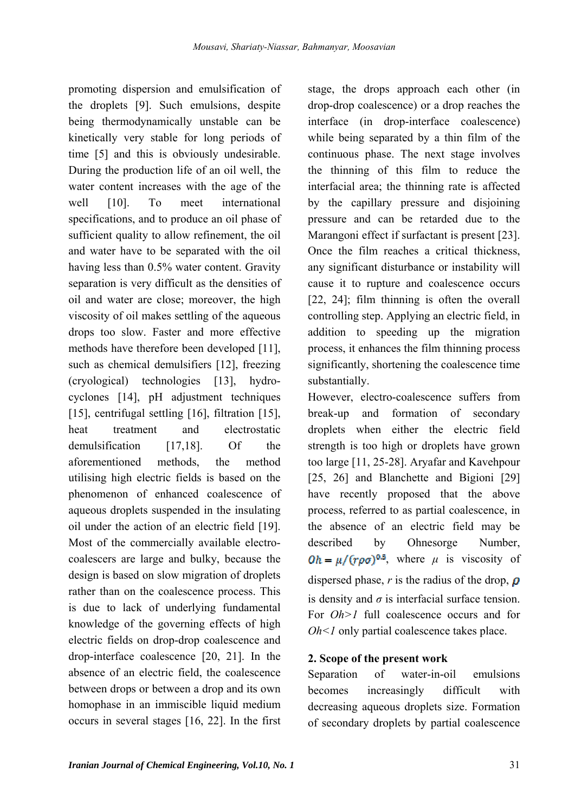promoting dispersion and emulsification of the droplets [9]. Such emulsions, despite being thermodynamically unstable can be kinetically very stable for long periods of time [5] and this is obviously undesirable. During the production life of an oil well, the water content increases with the age of the well [10]. To meet international specifications, and to produce an oil phase of sufficient quality to allow refinement, the oil and water have to be separated with the oil having less than 0.5% water content. Gravity separation is very difficult as the densities of oil and water are close; moreover, the high viscosity of oil makes settling of the aqueous drops too slow. Faster and more effective methods have therefore been developed [11], such as chemical demulsifiers [12], freezing (cryological) technologies [13], hydrocyclones [14], pH adjustment techniques [15], centrifugal settling [16], filtration [15], heat treatment and electrostatic demulsification [17,18]. Of the aforementioned methods, the method utilising high electric fields is based on the phenomenon of enhanced coalescence of aqueous droplets suspended in the insulating oil under the action of an electric field [19]. Most of the commercially available electrocoalescers are large and bulky, because the design is based on slow migration of droplets rather than on the coalescence process. This is due to lack of underlying fundamental knowledge of the governing effects of high electric fields on drop-drop coalescence and drop-interface coalescence [20, 21]. In the absence of an electric field, the coalescence between drops or between a drop and its own homophase in an immiscible liquid medium occurs in several stages [16, 22]. In the first

stage, the drops approach each other (in drop-drop coalescence) or a drop reaches the interface (in drop-interface coalescence) while being separated by a thin film of the continuous phase. The next stage involves the thinning of this film to reduce the interfacial area; the thinning rate is affected by the capillary pressure and disjoining pressure and can be retarded due to the Marangoni effect if surfactant is present [23]. Once the film reaches a critical thickness, any significant disturbance or instability will cause it to rupture and coalescence occurs [22, 24]; film thinning is often the overall controlling step. Applying an electric field, in addition to speeding up the migration process, it enhances the film thinning process significantly, shortening the coalescence time substantially.

However, electro-coalescence suffers from break-up and formation of secondary droplets when either the electric field strength is too high or droplets have grown too large [11, 25-28]. Aryafar and Kavehpour [25, 26] and Blanchette and Bigioni [29] have recently proposed that the above process, referred to as partial coalescence, in the absence of an electric field may be described by Ohnesorge Number,  $Qh = \mu / (r \rho \sigma)^{0.5}$ , where  $\mu$  is viscosity of dispersed phase,  $r$  is the radius of the drop,  $\rho$ is density and  $\sigma$  is interfacial surface tension. For *Oh* > 1 full coalescence occurs and for *Oh*<*1* only partial coalescence takes place.

#### **2. Scope of the present work**

Separation of water-in-oil emulsions becomes increasingly difficult with decreasing aqueous droplets size. Formation of secondary droplets by partial coalescence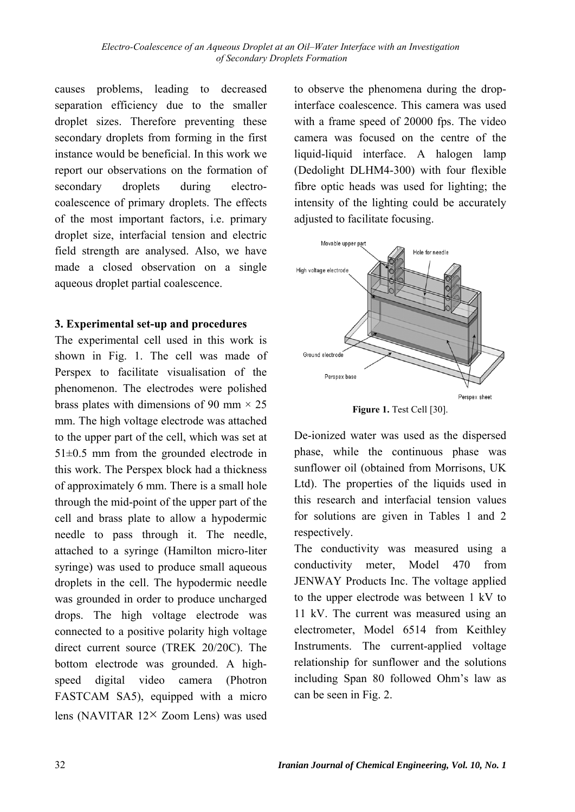causes problems, leading to decreased separation efficiency due to the smaller droplet sizes. Therefore preventing these secondary droplets from forming in the first instance would be beneficial. In this work we report our observations on the formation of secondary droplets during electrocoalescence of primary droplets. The effects of the most important factors, i.e. primary droplet size, interfacial tension and electric field strength are analysed. Also, we have made a closed observation on a single aqueous droplet partial coalescence.

### **3. Experimental set-up and procedures**

The experimental cell used in this work is shown in Fig. 1. The cell was made of Perspex to facilitate visualisation of the phenomenon. The electrodes were polished brass plates with dimensions of 90 mm  $\times$  25 mm. The high voltage electrode was attached to the upper part of the cell, which was set at  $51\pm0.5$  mm from the grounded electrode in this work. The Perspex block had a thickness of approximately 6 mm. There is a small hole through the mid-point of the upper part of the cell and brass plate to allow a hypodermic needle to pass through it. The needle, attached to a syringe (Hamilton micro-liter syringe) was used to produce small aqueous droplets in the cell. The hypodermic needle was grounded in order to produce uncharged drops. The high voltage electrode was connected to a positive polarity high voltage direct current source (TREK 20/20C). The bottom electrode was grounded. A highspeed digital video camera (Photron FASTCAM SA5), equipped with a micro lens (NAVITAR 12× Zoom Lens) was used to observe the phenomena during the dropinterface coalescence. This camera was used with a frame speed of 20000 fps. The video camera was focused on the centre of the liquid-liquid interface. A halogen lamp (Dedolight DLHM4-300) with four flexible fibre optic heads was used for lighting; the intensity of the lighting could be accurately adjusted to facilitate focusing.



**Figure 1.** Test Cell [30].

De-ionized water was used as the dispersed phase, while the continuous phase was sunflower oil (obtained from Morrisons, UK Ltd). The properties of the liquids used in this research and interfacial tension values for solutions are given in Tables 1 and 2 respectively.

The conductivity was measured using a conductivity meter, Model 470 from JENWAY Products Inc. The voltage applied to the upper electrode was between 1 kV to 11 kV. The current was measured using an electrometer, Model 6514 from Keithley Instruments. The current-applied voltage relationship for sunflower and the solutions including Span 80 followed Ohm's law as can be seen in Fig. 2.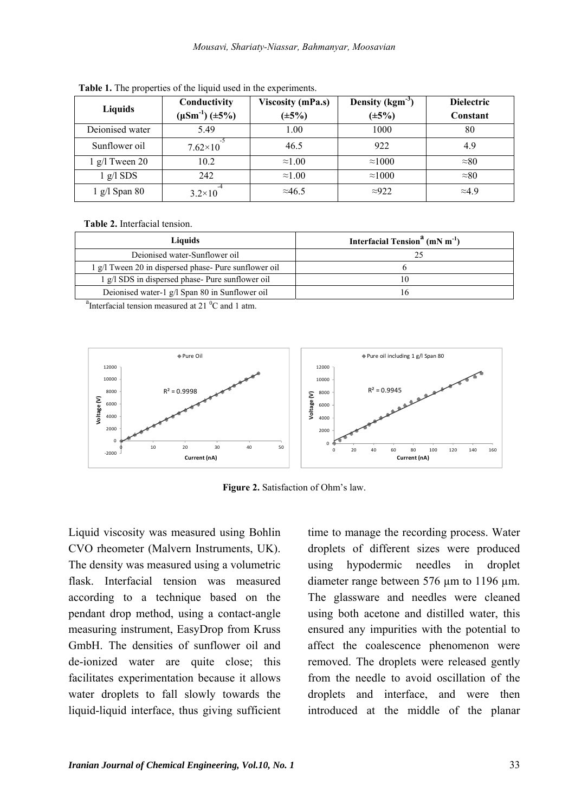| Liquids                     | Conductivity          | <b>Viscosity (mPa.s)</b> | Density $(kgm-3)$ | <b>Dielectric</b> |
|-----------------------------|-----------------------|--------------------------|-------------------|-------------------|
|                             | $(\mu Sm^{-1})$ (±5%) | $(\pm 5\%)$              | $(\pm 5\%)$       | Constant          |
| Dejonised water             | 5.49                  | 1.00                     | 1000              | 80                |
| Sunflower oil               | $7.62\times10$        | 46.5                     | 922               | 4.9               |
| $1$ g/l Tween 20            | 10.2                  | $\approx 1.00$           | $\approx 1000$    | $\approx 80$      |
| $1 \text{ g}/1 \text{ SDS}$ | 242                   | $\approx 1.00$           | $\approx 1000$    | $\approx 80$      |
| $1$ g/l Span 80             | $3.2\times10$         | $\approx$ 46.5           | $\approx 922$     | $\approx$ 49      |

**Table 1.** The properties of the liquid used in the experiments.

**Table 2.** Interfacial tension.

| Liauids                                               | Interfacial Tension <sup>a</sup> (mN m <sup>-1</sup> ) |  |  |
|-------------------------------------------------------|--------------------------------------------------------|--|--|
| Deionised water-Sunflower oil                         |                                                        |  |  |
| 1 g/l Tween 20 in dispersed phase- Pure sunflower oil |                                                        |  |  |
| g/l SDS in dispersed phase- Pure sunflower oil        |                                                        |  |  |
| Deionised water-1 g/l Span 80 in Sunflower oil        |                                                        |  |  |

<sup>a</sup>Interfacial tension measured at 21 $\mathrm{^{0}C}$  and 1 atm.



**Figure 2.** Satisfaction of Ohm's law.

Liquid viscosity was measured using Bohlin CVO rheometer (Malvern Instruments, UK). The density was measured using a volumetric flask. Interfacial tension was measured according to a technique based on the pendant drop method, using a contact-angle measuring instrument, EasyDrop from Kruss GmbH. The densities of sunflower oil and de-ionized water are quite close; this facilitates experimentation because it allows water droplets to fall slowly towards the liquid-liquid interface, thus giving sufficient time to manage the recording process. Water droplets of different sizes were produced using hypodermic needles in droplet diameter range between 576 µm to 1196 µm. The glassware and needles were cleaned using both acetone and distilled water, this ensured any impurities with the potential to affect the coalescence phenomenon were removed. The droplets were released gently from the needle to avoid oscillation of the droplets and interface, and were then introduced at the middle of the planar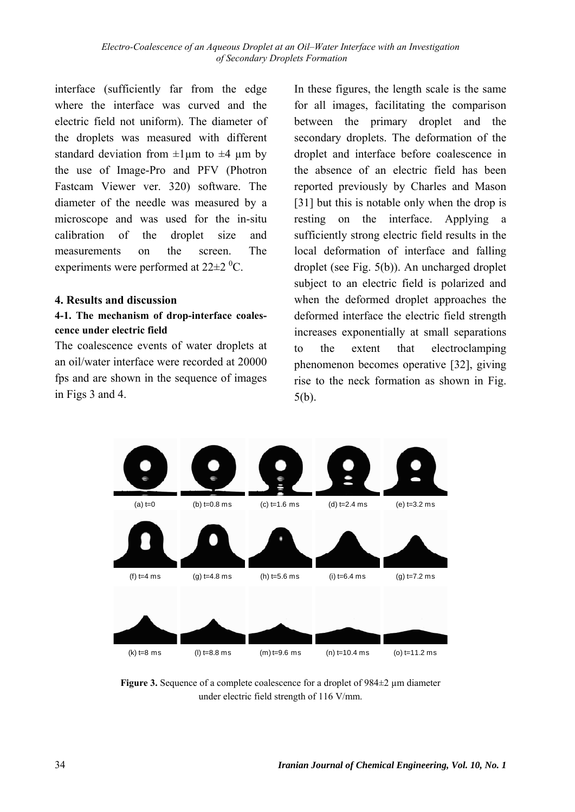interface (sufficiently far from the edge where the interface was curved and the electric field not uniform). The diameter of the droplets was measured with different standard deviation from  $\pm 1\,\mu$ m to  $\pm 4\,\mu$ m by the use of Image-Pro and PFV (Photron Fastcam Viewer ver. 320) software. The diameter of the needle was measured by a microscope and was used for the in-situ calibration of the droplet size and measurements on the screen. The experiments were performed at  $22\pm2~^0C$ .

#### **4. Results and discussion**

### **4-1. The mechanism of drop-interface coalescence under electric field**

The coalescence events of water droplets at an oil/water interface were recorded at 20000 fps and are shown in the sequence of images in Figs 3 and 4.

In these figures, the length scale is the same for all images, facilitating the comparison between the primary droplet and the secondary droplets. The deformation of the droplet and interface before coalescence in the absence of an electric field has been reported previously by Charles and Mason [31] but this is notable only when the drop is resting on the interface. Applying a sufficiently strong electric field results in the local deformation of interface and falling droplet (see Fig. 5(b)). An uncharged droplet subject to an electric field is polarized and when the deformed droplet approaches the deformed interface the electric field strength increases exponentially at small separations to the extent that electroclamping phenomenon becomes operative [32], giving rise to the neck formation as shown in Fig. 5(b).



**Figure 3.** Sequence of a complete coalescence for a droplet of 984±2 µm diameter under electric field strength of 116 V/mm.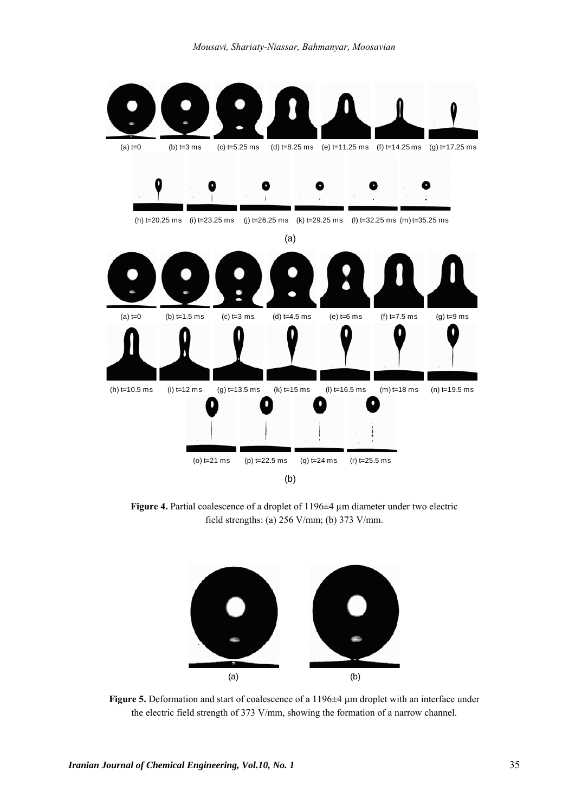*Mousavi, Shariaty-Niassar, Bahmanyar, Moosavian* 



**Figure 4.** Partial coalescence of a droplet of 1196±4 µm diameter under two electric field strengths: (a) 256 V/mm; (b) 373 V/mm.



**Figure 5.** Deformation and start of coalescence of a 1196±4 µm droplet with an interface under the electric field strength of 373 V/mm, showing the formation of a narrow channel.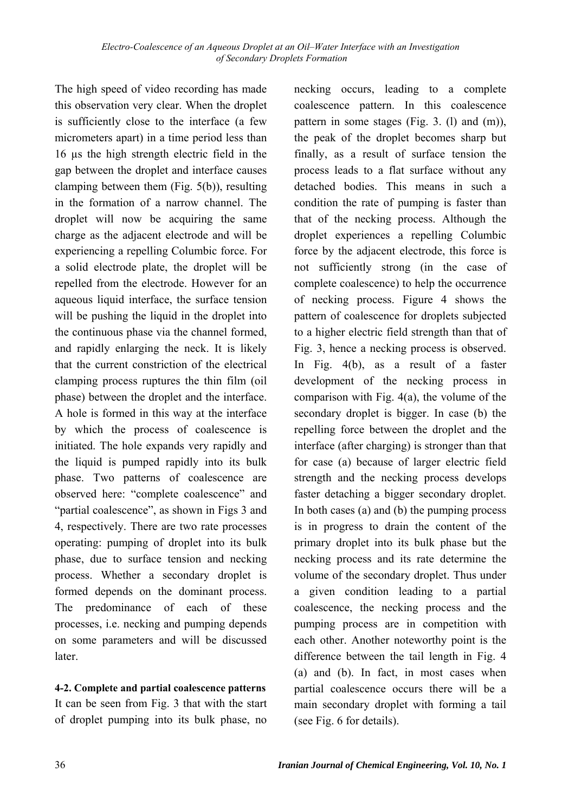The high speed of video recording has made this observation very clear. When the droplet is sufficiently close to the interface (a few micrometers apart) in a time period less than 16 µs the high strength electric field in the gap between the droplet and interface causes clamping between them (Fig. 5(b)), resulting in the formation of a narrow channel. The droplet will now be acquiring the same charge as the adjacent electrode and will be experiencing a repelling Columbic force. For a solid electrode plate, the droplet will be repelled from the electrode. However for an aqueous liquid interface, the surface tension will be pushing the liquid in the droplet into the continuous phase via the channel formed, and rapidly enlarging the neck. It is likely that the current constriction of the electrical clamping process ruptures the thin film (oil phase) between the droplet and the interface. A hole is formed in this way at the interface by which the process of coalescence is initiated. The hole expands very rapidly and the liquid is pumped rapidly into its bulk phase. Two patterns of coalescence are observed here: "complete coalescence" and "partial coalescence", as shown in Figs 3 and 4, respectively. There are two rate processes operating: pumping of droplet into its bulk phase, due to surface tension and necking process. Whether a secondary droplet is formed depends on the dominant process. The predominance of each of these processes, i.e. necking and pumping depends on some parameters and will be discussed later.

**4-2. Complete and partial coalescence patterns**  It can be seen from Fig. 3 that with the start of droplet pumping into its bulk phase, no necking occurs, leading to a complete coalescence pattern. In this coalescence pattern in some stages (Fig. 3. (l) and (m)), the peak of the droplet becomes sharp but finally, as a result of surface tension the process leads to a flat surface without any detached bodies. This means in such a condition the rate of pumping is faster than that of the necking process. Although the droplet experiences a repelling Columbic force by the adjacent electrode, this force is not sufficiently strong (in the case of complete coalescence) to help the occurrence of necking process. Figure 4 shows the pattern of coalescence for droplets subjected to a higher electric field strength than that of Fig. 3, hence a necking process is observed. In Fig. 4(b), as a result of a faster development of the necking process in comparison with Fig. 4(a), the volume of the secondary droplet is bigger. In case (b) the repelling force between the droplet and the interface (after charging) is stronger than that for case (a) because of larger electric field strength and the necking process develops faster detaching a bigger secondary droplet. In both cases (a) and (b) the pumping process is in progress to drain the content of the primary droplet into its bulk phase but the necking process and its rate determine the volume of the secondary droplet. Thus under a given condition leading to a partial coalescence, the necking process and the pumping process are in competition with each other. Another noteworthy point is the difference between the tail length in Fig. 4 (a) and (b). In fact, in most cases when partial coalescence occurs there will be a main secondary droplet with forming a tail (see Fig. 6 for details).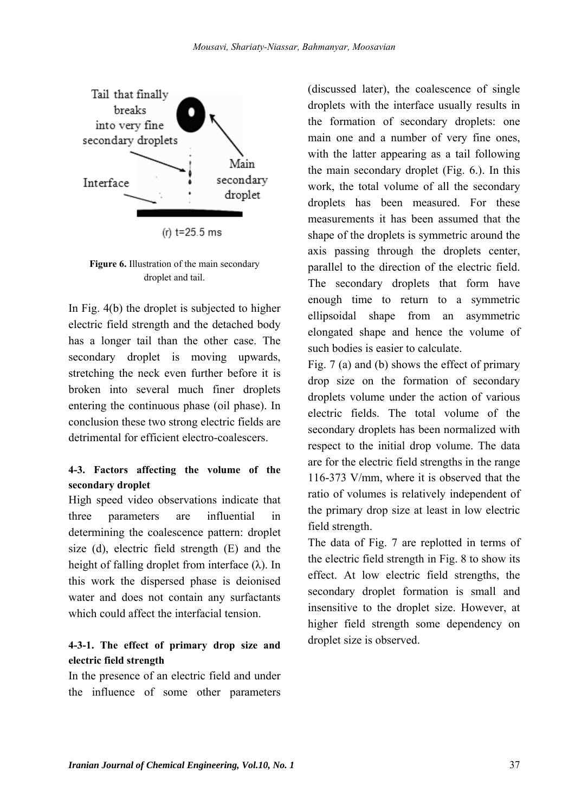

**Figure 6.** Illustration of the main secondary droplet and tail.

In Fig. 4(b) the droplet is subjected to higher electric field strength and the detached body has a longer tail than the other case. The secondary droplet is moving upwards, stretching the neck even further before it is broken into several much finer droplets entering the continuous phase (oil phase). In conclusion these two strong electric fields are detrimental for efficient electro-coalescers.

### **4-3. Factors affecting the volume of the secondary droplet**

High speed video observations indicate that three parameters are influential in determining the coalescence pattern: droplet size (d), electric field strength (E) and the height of falling droplet from interface  $(\lambda)$ . In this work the dispersed phase is deionised water and does not contain any surfactants which could affect the interfacial tension.

### **4-3-1. The effect of primary drop size and electric field strength**

In the presence of an electric field and under the influence of some other parameters (discussed later), the coalescence of single droplets with the interface usually results in the formation of secondary droplets: one main one and a number of very fine ones, with the latter appearing as a tail following the main secondary droplet (Fig. 6.). In this work, the total volume of all the secondary droplets has been measured. For these measurements it has been assumed that the shape of the droplets is symmetric around the axis passing through the droplets center, parallel to the direction of the electric field. The secondary droplets that form have enough time to return to a symmetric ellipsoidal shape from an asymmetric elongated shape and hence the volume of such bodies is easier to calculate.

Fig. 7 (a) and (b) shows the effect of primary drop size on the formation of secondary droplets volume under the action of various electric fields. The total volume of the secondary droplets has been normalized with respect to the initial drop volume. The data are for the electric field strengths in the range 116-373 V/mm, where it is observed that the ratio of volumes is relatively independent of the primary drop size at least in low electric field strength.

The data of Fig. 7 are replotted in terms of the electric field strength in Fig. 8 to show its effect. At low electric field strengths, the secondary droplet formation is small and insensitive to the droplet size. However, at higher field strength some dependency on droplet size is observed.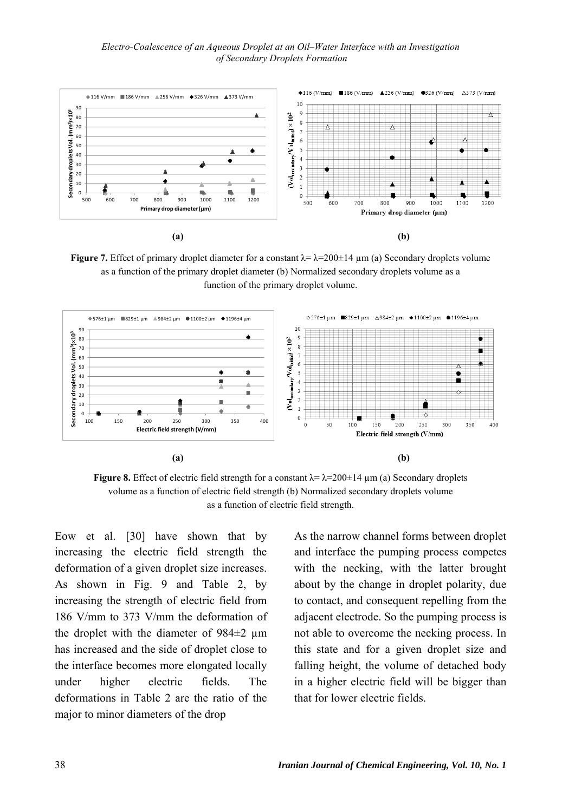*Electro-Coalescence of an Aqueous Droplet at an Oil–Water Interface with an Investigation of Secondary Droplets Formation* 



**Figure 7.** Effect of primary droplet diameter for a constant  $\lambda = \lambda = 200 \pm 14 \mu$  m (a) Secondary droplets volume as a function of the primary droplet diameter (b) Normalized secondary droplets volume as a function of the primary droplet volume.



**Figure 8.** Effect of electric field strength for a constant  $\lambda = \lambda = 200 \pm 14 \mu m$  (a) Secondary droplets volume as a function of electric field strength (b) Normalized secondary droplets volume as a function of electric field strength.

Eow et al. [30] have shown that by increasing the electric field strength the deformation of a given droplet size increases. As shown in Fig. 9 and Table 2, by increasing the strength of electric field from 186 V/mm to 373 V/mm the deformation of the droplet with the diameter of  $984\pm2$  µm has increased and the side of droplet close to the interface becomes more elongated locally under higher electric fields. The deformations in Table 2 are the ratio of the major to minor diameters of the drop

As the narrow channel forms between droplet and interface the pumping process competes with the necking, with the latter brought about by the change in droplet polarity, due to contact, and consequent repelling from the adjacent electrode. So the pumping process is not able to overcome the necking process. In this state and for a given droplet size and falling height, the volume of detached body in a higher electric field will be bigger than that for lower electric fields.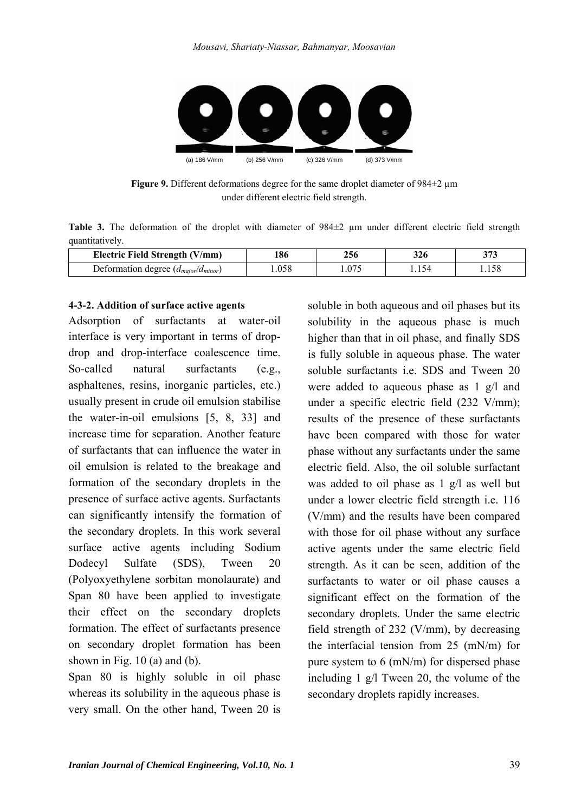

**Figure 9.** Different deformations degree for the same droplet diameter of 984±2 µm under different electric field strength.

Table 3. The deformation of the droplet with diameter of 984 $\pm$ 2 µm under different electric field strength quantitatively.

| Electric Field Strength (V/mm)             | 186  | 256  | 326 | $\sim$ $\sim$ $\sim$<br>ں ر |
|--------------------------------------------|------|------|-----|-----------------------------|
| Deformation degree $(d_{major}/d_{minor})$ | .058 | .075 |     |                             |

#### **4-3-2. Addition of surface active agents**

Adsorption of surfactants at water-oil interface is very important in terms of dropdrop and drop-interface coalescence time. So-called natural surfactants (e.g., asphaltenes, resins, inorganic particles, etc.) usually present in crude oil emulsion stabilise the water-in-oil emulsions [5, 8, 33] and increase time for separation. Another feature of surfactants that can influence the water in oil emulsion is related to the breakage and formation of the secondary droplets in the presence of surface active agents. Surfactants can significantly intensify the formation of the secondary droplets. In this work several surface active agents including Sodium Dodecyl Sulfate (SDS), Tween 20 (Polyoxyethylene sorbitan monolaurate) and Span 80 have been applied to investigate their effect on the secondary droplets formation. The effect of surfactants presence on secondary droplet formation has been shown in Fig.  $10$  (a) and (b).

Span 80 is highly soluble in oil phase whereas its solubility in the aqueous phase is very small. On the other hand, Tween 20 is

soluble in both aqueous and oil phases but its solubility in the aqueous phase is much higher than that in oil phase, and finally SDS is fully soluble in aqueous phase. The water soluble surfactants i.e. SDS and Tween 20 were added to aqueous phase as 1 g/l and under a specific electric field (232 V/mm); results of the presence of these surfactants have been compared with those for water phase without any surfactants under the same electric field. Also, the oil soluble surfactant was added to oil phase as  $1 \text{ g}/l$  as well but under a lower electric field strength i.e. 116 (V/mm) and the results have been compared with those for oil phase without any surface active agents under the same electric field strength. As it can be seen, addition of the surfactants to water or oil phase causes a significant effect on the formation of the secondary droplets. Under the same electric field strength of 232 (V/mm), by decreasing the interfacial tension from 25 (mN/m) for pure system to 6 (mN/m) for dispersed phase including 1 g/l Tween 20, the volume of the secondary droplets rapidly increases.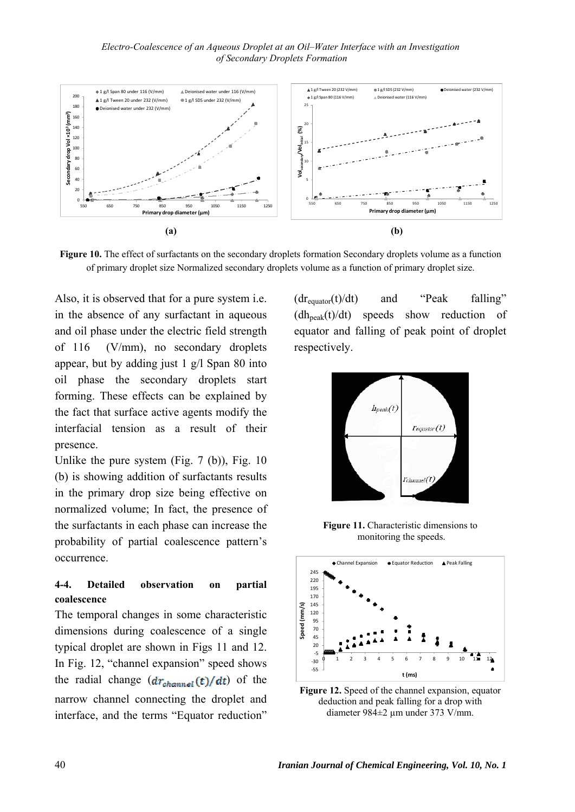

**Figure 10.** The effect of surfactants on the secondary droplets formation Secondary droplets volume as a function of primary droplet size Normalized secondary droplets volume as a function of primary droplet size.

Also, it is observed that for a pure system i.e. in the absence of any surfactant in aqueous and oil phase under the electric field strength of 116 (V/mm), no secondary droplets appear, but by adding just 1 g/l Span 80 into oil phase the secondary droplets start forming. These effects can be explained by the fact that surface active agents modify the interfacial tension as a result of their presence.

Unlike the pure system  $(Fig. 7 (b))$ , Fig. 10 (b) is showing addition of surfactants results in the primary drop size being effective on normalized volume; In fact, the presence of the surfactants in each phase can increase the probability of partial coalescence pattern's occurrence.

#### **4-4. Detailed observation on partial coalescence**

The temporal changes in some characteristic dimensions during coalescence of a single typical droplet are shown in Figs 11 and 12. In Fig. 12, "channel expansion" speed shows the radial change  $(dr_{channel}(t)/dt)$  of the narrow channel connecting the droplet and interface, and the terms "Equator reduction"  $(dr_{\text{equator}}(t)/dt)$  and "Peak falling"  $(dh_{peak}(t)/dt)$  speeds show reduction of equator and falling of peak point of droplet respectively.



**Figure 11.** Characteristic dimensions to monitoring the speeds.



**Figure 12.** Speed of the channel expansion, equator deduction and peak falling for a drop with diameter 984±2 µm under 373 V/mm.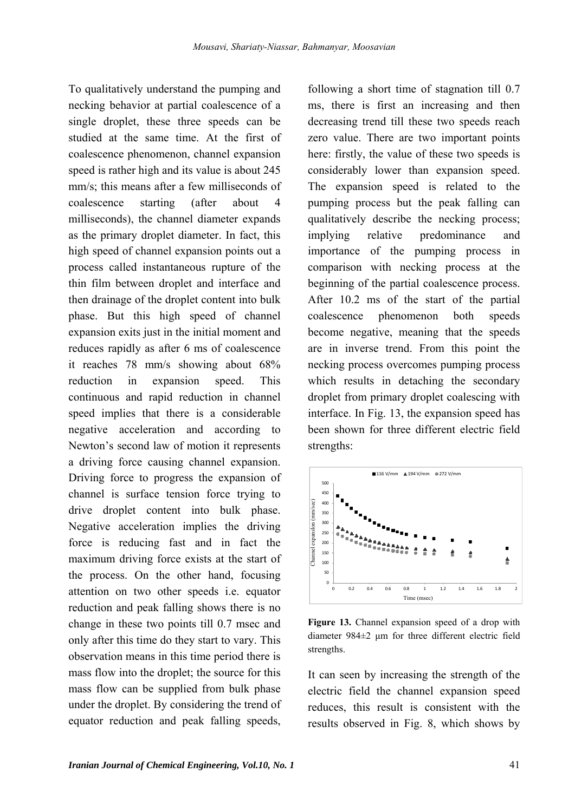To qualitatively understand the pumping and necking behavior at partial coalescence of a single droplet, these three speeds can be studied at the same time. At the first of coalescence phenomenon, channel expansion speed is rather high and its value is about 245 mm/s; this means after a few milliseconds of coalescence starting (after about 4 milliseconds), the channel diameter expands as the primary droplet diameter. In fact, this high speed of channel expansion points out a process called instantaneous rupture of the thin film between droplet and interface and then drainage of the droplet content into bulk phase. But this high speed of channel expansion exits just in the initial moment and reduces rapidly as after 6 ms of coalescence it reaches 78 mm/s showing about 68% reduction in expansion speed. This continuous and rapid reduction in channel speed implies that there is a considerable negative acceleration and according to Newton's second law of motion it represents a driving force causing channel expansion. Driving force to progress the expansion of channel is surface tension force trying to drive droplet content into bulk phase. Negative acceleration implies the driving force is reducing fast and in fact the maximum driving force exists at the start of the process. On the other hand, focusing attention on two other speeds i.e. equator reduction and peak falling shows there is no change in these two points till 0.7 msec and only after this time do they start to vary. This observation means in this time period there is mass flow into the droplet; the source for this mass flow can be supplied from bulk phase under the droplet. By considering the trend of equator reduction and peak falling speeds,

following a short time of stagnation till 0.7 ms, there is first an increasing and then decreasing trend till these two speeds reach zero value. There are two important points here: firstly, the value of these two speeds is considerably lower than expansion speed. The expansion speed is related to the pumping process but the peak falling can qualitatively describe the necking process; implying relative predominance and importance of the pumping process in comparison with necking process at the beginning of the partial coalescence process. After 10.2 ms of the start of the partial coalescence phenomenon both speeds become negative, meaning that the speeds are in inverse trend. From this point the necking process overcomes pumping process which results in detaching the secondary droplet from primary droplet coalescing with interface. In Fig. 13, the expansion speed has been shown for three different electric field strengths:



**Figure 13.** Channel expansion speed of a drop with diameter 984±2 μm for three different electric field strengths.

It can seen by increasing the strength of the electric field the channel expansion speed reduces, this result is consistent with the results observed in Fig. 8, which shows by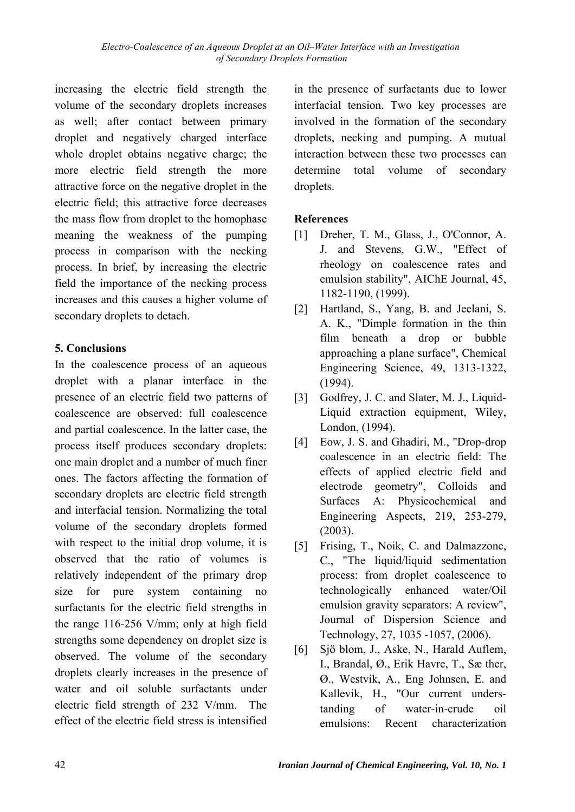increasing the electric field strength the volume of the secondary droplets increases as well; after contact between primary droplet and negatively charged interface whole droplet obtains negative charge; the more electric field strength the more attractive force on the negative droplet in the electric field; this attractive force decreases the mass flow from droplet to the homophase meaning the weakness of the pumping process in comparison with the necking process. In brief, by increasing the electric field the importance of the necking process increases and this causes a higher volume of secondary droplets to detach.

### **5. Conclusions**

In the coalescence process of an aqueous droplet with a planar interface in the presence of an electric field two patterns of coalescence are observed: full coalescence and partial coalescence. In the latter case, the process itself produces secondary droplets: one main droplet and a number of much finer ones. The factors affecting the formation of secondary droplets are electric field strength and interfacial tension. Normalizing the total volume of the secondary droplets formed with respect to the initial drop volume, it is observed that the ratio of volumes is relatively independent of the primary drop size for pure system containing no surfactants for the electric field strengths in the range 116-256 V/mm; only at high field strengths some dependency on droplet size is observed. The volume of the secondary droplets clearly increases in the presence of water and oil soluble surfactants under electric field strength of 232 V/mm. The effect of the electric field stress is intensified

in the presence of surfactants due to lower interfacial tension. Two key processes are involved in the formation of the secondary droplets, necking and pumping. A mutual interaction between these two processes can determine total volume of secondary droplets.

## **References**

- [1] Dreher, T. M., Glass, J., O'Connor, A. J. and Stevens, G.W., "Effect of rheology on coalescence rates and emulsion stability", AIChE Journal, 45, 1182-1190, (1999).
- [2] Hartland, S., Yang, B. and Jeelani, S. A. K., "Dimple formation in the thin film beneath a drop or bubble approaching a plane surface", Chemical Engineering Science, 49, 1313-1322, (1994).
- [3] Godfrey, J. C. and Slater, M. J., Liquid-Liquid extraction equipment, Wiley, London, (1994).
- [4] Eow, J. S. and Ghadiri, M., "Drop-drop coalescence in an electric field: The effects of applied electric field and electrode geometry", Colloids and Surfaces A: Physicochemical and Engineering Aspects, 219, 253-279, (2003).
- [5] Frising, T., Noik, C. and Dalmazzone, C., "The liquid/liquid sedimentation process: from droplet coalescence to technologically enhanced water/Oil emulsion gravity separators: A review", Journal of Dispersion Science and Technology, 27, 1035 -1057, (2006).
- [6] Sjö blom, J., Aske, N., Harald Auflem, I., Brandal, Ø., Erik Havre, T., Sæ ther, Ø., Westvik, A., Eng Johnsen, E. and Kallevik, H., "Our current understanding of water-in-crude oil emulsions: Recent characterization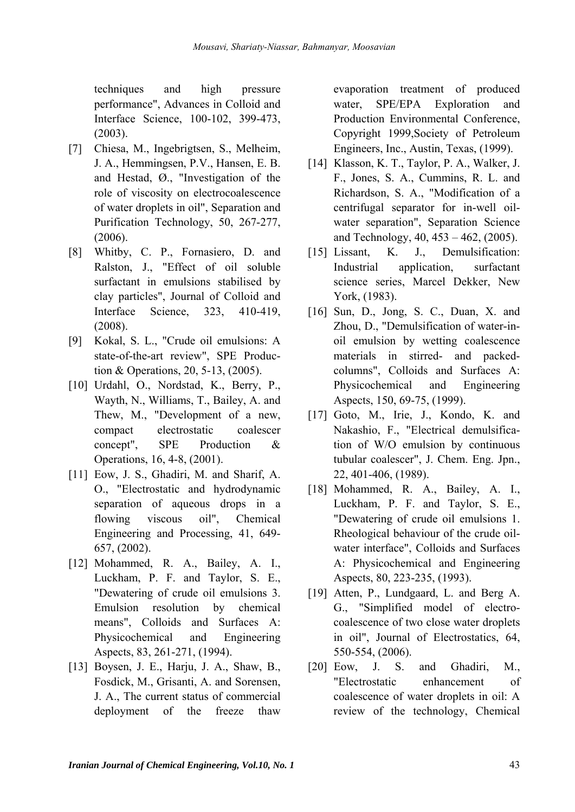techniques and high pressure performance", Advances in Colloid and Interface Science, 100-102, 399-473, (2003).

- [7] Chiesa, M., Ingebrigtsen, S., Melheim, J. A., Hemmingsen, P.V., Hansen, E. B. and Hestad, Ø., "Investigation of the role of viscosity on electrocoalescence of water droplets in oil", Separation and Purification Technology, 50, 267-277, (2006).
- [8] Whitby, C. P., Fornasiero, D. and Ralston, J., "Effect of oil soluble surfactant in emulsions stabilised by clay particles", Journal of Colloid and Interface Science, 323, 410-419, (2008).
- [9] Kokal, S. L., "Crude oil emulsions: A state-of-the-art review", SPE Production & Operations, 20, 5-13, (2005).
- [10] Urdahl, O., Nordstad, K., Berry, P., Wayth, N., Williams, T., Bailey, A. and Thew, M., "Development of a new, compact electrostatic coalescer concept", SPE Production & Operations, 16, 4-8, (2001).
- [11] Eow, J. S., Ghadiri, M. and Sharif, A. O., "Electrostatic and hydrodynamic separation of aqueous drops in a flowing viscous oil", Chemical Engineering and Processing, 41, 649- 657, (2002).
- [12] Mohammed, R. A., Bailey, A. I., Luckham, P. F. and Taylor, S. E., "Dewatering of crude oil emulsions 3. Emulsion resolution by chemical means", Colloids and Surfaces A: Physicochemical and Engineering Aspects, 83, 261-271, (1994).
- [13] Boysen, J. E., Harju, J. A., Shaw, B., Fosdick, M., Grisanti, A. and Sorensen, J. A., The current status of commercial deployment of the freeze thaw

evaporation treatment of produced water, SPE/EPA Exploration and Production Environmental Conference, Copyright 1999,Society of Petroleum Engineers, Inc., Austin, Texas, (1999).

- [14] Klasson, K. T., Taylor, P. A., Walker, J. F., Jones, S. A., Cummins, R. L. and Richardson, S. A., "Modification of a centrifugal separator for in-well oilwater separation", Separation Science and Technology, 40, 453 – 462, (2005).
- [15] Lissant, K. J., Demulsification: Industrial application, surfactant science series, Marcel Dekker, New York, (1983).
- [16] Sun, D., Jong, S. C., Duan, X. and Zhou, D., "Demulsification of water-inoil emulsion by wetting coalescence materials in stirred- and packedcolumns", Colloids and Surfaces A: Physicochemical and Engineering Aspects, 150, 69-75, (1999).
- [17] Goto, M., Irie, J., Kondo, K. and Nakashio, F., "Electrical demulsification of W/O emulsion by continuous tubular coalescer", J. Chem. Eng. Jpn., 22, 401-406, (1989).
- [18] Mohammed, R. A., Bailey, A. I., Luckham, P. F. and Taylor, S. E., "Dewatering of crude oil emulsions 1. Rheological behaviour of the crude oilwater interface", Colloids and Surfaces A: Physicochemical and Engineering Aspects, 80, 223-235, (1993).
- [19] Atten, P., Lundgaard, L. and Berg A. G., "Simplified model of electrocoalescence of two close water droplets in oil", Journal of Electrostatics, 64, 550-554, (2006).
- [20] Eow, J. S. and Ghadiri, M., "Electrostatic enhancement of coalescence of water droplets in oil: A review of the technology, Chemical